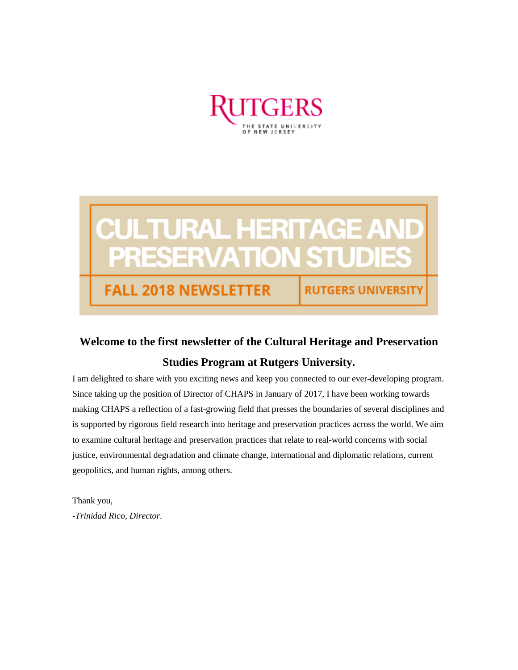

# **LTURAL HERITAGE AND ESERVATION ST**

**FALL 2018 NEWSLETTER** 

**RUTGERS UNIVERSITY** 

## **Welcome to the first newsletter of the Cultural Heritage and Preservation**

## **Studies Program at Rutgers University.**

I am delighted to share with you exciting news and keep you connected to our ever-developing program. Since taking up the position of Director of CHAPS in January of 2017, I have been working towards making CHAPS a reflection of a fast-growing field that presses the boundaries of several disciplines and is supported by rigorous field research into heritage and preservation practices across the world. We aim to examine cultural heritage and preservation practices that relate to real-world concerns with social justice, environmental degradation and climate change, international and diplomatic relations, current geopolitics, and human rights, among others.

Thank you, *-Trinidad Rico, Director.*